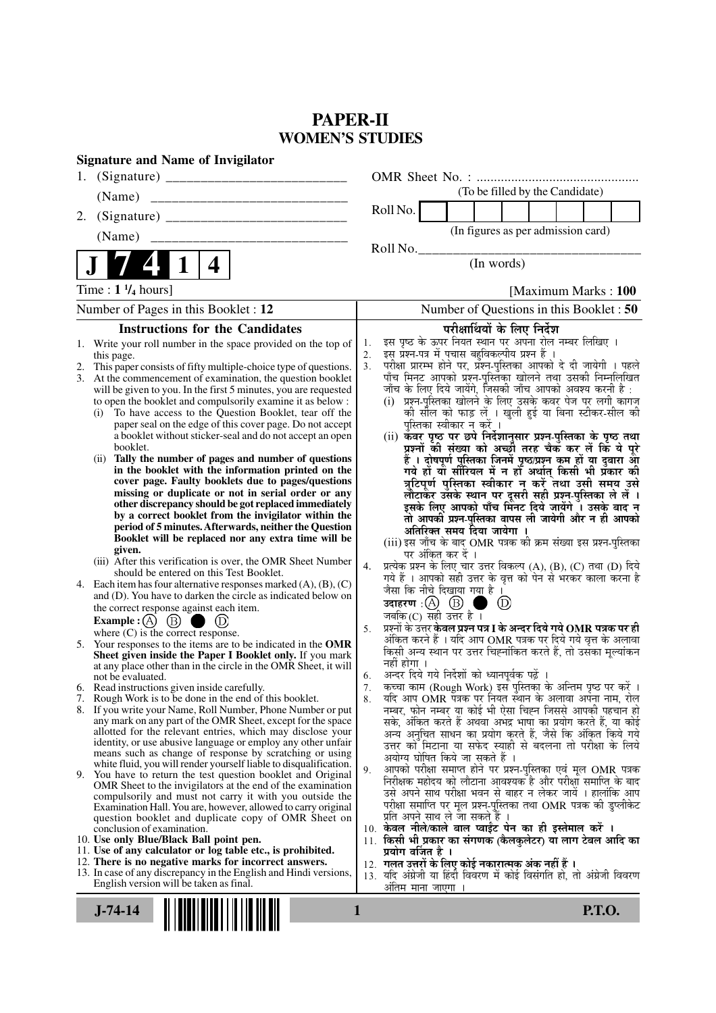# **PAPER-II WOMEN'S STUDIES**

| <b>Signature and Name of Invigilator</b>                                                                                                                                                                                                                                                                                                                                                                                                                                                                                                                                                                                                                                                                                                                                                                                                                                                                                                                                                                                                                                                                                                                                                                                                                                                                                                                                                                                                                                                                                                                                                                                                                                                                                                                                                                                                                                                                                                                                                                                                                                                                                                                                                                                                                                                                                                                                                                                                                                                                                                                                                                                                                            |                                                                                                                                                                                                                                                                                                                                                                                                                                                                                                                                                                                                                                                                                                                                                                                                                                                                                                                                                                                                                                                                                                                                                                                                                                                                                                                                                                                                                                                                                                                                                                                                                                                                                                                                                                                                                                                                                                                                                                                                                                                                                                                                                                                                                                                                                                                                                                                                                                                                                                                                                                                                     |
|---------------------------------------------------------------------------------------------------------------------------------------------------------------------------------------------------------------------------------------------------------------------------------------------------------------------------------------------------------------------------------------------------------------------------------------------------------------------------------------------------------------------------------------------------------------------------------------------------------------------------------------------------------------------------------------------------------------------------------------------------------------------------------------------------------------------------------------------------------------------------------------------------------------------------------------------------------------------------------------------------------------------------------------------------------------------------------------------------------------------------------------------------------------------------------------------------------------------------------------------------------------------------------------------------------------------------------------------------------------------------------------------------------------------------------------------------------------------------------------------------------------------------------------------------------------------------------------------------------------------------------------------------------------------------------------------------------------------------------------------------------------------------------------------------------------------------------------------------------------------------------------------------------------------------------------------------------------------------------------------------------------------------------------------------------------------------------------------------------------------------------------------------------------------------------------------------------------------------------------------------------------------------------------------------------------------------------------------------------------------------------------------------------------------------------------------------------------------------------------------------------------------------------------------------------------------------------------------------------------------------------------------------------------------|-----------------------------------------------------------------------------------------------------------------------------------------------------------------------------------------------------------------------------------------------------------------------------------------------------------------------------------------------------------------------------------------------------------------------------------------------------------------------------------------------------------------------------------------------------------------------------------------------------------------------------------------------------------------------------------------------------------------------------------------------------------------------------------------------------------------------------------------------------------------------------------------------------------------------------------------------------------------------------------------------------------------------------------------------------------------------------------------------------------------------------------------------------------------------------------------------------------------------------------------------------------------------------------------------------------------------------------------------------------------------------------------------------------------------------------------------------------------------------------------------------------------------------------------------------------------------------------------------------------------------------------------------------------------------------------------------------------------------------------------------------------------------------------------------------------------------------------------------------------------------------------------------------------------------------------------------------------------------------------------------------------------------------------------------------------------------------------------------------------------------------------------------------------------------------------------------------------------------------------------------------------------------------------------------------------------------------------------------------------------------------------------------------------------------------------------------------------------------------------------------------------------------------------------------------------------------------------------------------|
| 1.                                                                                                                                                                                                                                                                                                                                                                                                                                                                                                                                                                                                                                                                                                                                                                                                                                                                                                                                                                                                                                                                                                                                                                                                                                                                                                                                                                                                                                                                                                                                                                                                                                                                                                                                                                                                                                                                                                                                                                                                                                                                                                                                                                                                                                                                                                                                                                                                                                                                                                                                                                                                                                                                  |                                                                                                                                                                                                                                                                                                                                                                                                                                                                                                                                                                                                                                                                                                                                                                                                                                                                                                                                                                                                                                                                                                                                                                                                                                                                                                                                                                                                                                                                                                                                                                                                                                                                                                                                                                                                                                                                                                                                                                                                                                                                                                                                                                                                                                                                                                                                                                                                                                                                                                                                                                                                     |
| (Name)                                                                                                                                                                                                                                                                                                                                                                                                                                                                                                                                                                                                                                                                                                                                                                                                                                                                                                                                                                                                                                                                                                                                                                                                                                                                                                                                                                                                                                                                                                                                                                                                                                                                                                                                                                                                                                                                                                                                                                                                                                                                                                                                                                                                                                                                                                                                                                                                                                                                                                                                                                                                                                                              | (To be filled by the Candidate)                                                                                                                                                                                                                                                                                                                                                                                                                                                                                                                                                                                                                                                                                                                                                                                                                                                                                                                                                                                                                                                                                                                                                                                                                                                                                                                                                                                                                                                                                                                                                                                                                                                                                                                                                                                                                                                                                                                                                                                                                                                                                                                                                                                                                                                                                                                                                                                                                                                                                                                                                                     |
| 2.                                                                                                                                                                                                                                                                                                                                                                                                                                                                                                                                                                                                                                                                                                                                                                                                                                                                                                                                                                                                                                                                                                                                                                                                                                                                                                                                                                                                                                                                                                                                                                                                                                                                                                                                                                                                                                                                                                                                                                                                                                                                                                                                                                                                                                                                                                                                                                                                                                                                                                                                                                                                                                                                  | Roll No.                                                                                                                                                                                                                                                                                                                                                                                                                                                                                                                                                                                                                                                                                                                                                                                                                                                                                                                                                                                                                                                                                                                                                                                                                                                                                                                                                                                                                                                                                                                                                                                                                                                                                                                                                                                                                                                                                                                                                                                                                                                                                                                                                                                                                                                                                                                                                                                                                                                                                                                                                                                            |
| (Name)<br>__________________________                                                                                                                                                                                                                                                                                                                                                                                                                                                                                                                                                                                                                                                                                                                                                                                                                                                                                                                                                                                                                                                                                                                                                                                                                                                                                                                                                                                                                                                                                                                                                                                                                                                                                                                                                                                                                                                                                                                                                                                                                                                                                                                                                                                                                                                                                                                                                                                                                                                                                                                                                                                                                                | (In figures as per admission card)                                                                                                                                                                                                                                                                                                                                                                                                                                                                                                                                                                                                                                                                                                                                                                                                                                                                                                                                                                                                                                                                                                                                                                                                                                                                                                                                                                                                                                                                                                                                                                                                                                                                                                                                                                                                                                                                                                                                                                                                                                                                                                                                                                                                                                                                                                                                                                                                                                                                                                                                                                  |
|                                                                                                                                                                                                                                                                                                                                                                                                                                                                                                                                                                                                                                                                                                                                                                                                                                                                                                                                                                                                                                                                                                                                                                                                                                                                                                                                                                                                                                                                                                                                                                                                                                                                                                                                                                                                                                                                                                                                                                                                                                                                                                                                                                                                                                                                                                                                                                                                                                                                                                                                                                                                                                                                     | Roll No.<br>(In words)                                                                                                                                                                                                                                                                                                                                                                                                                                                                                                                                                                                                                                                                                                                                                                                                                                                                                                                                                                                                                                                                                                                                                                                                                                                                                                                                                                                                                                                                                                                                                                                                                                                                                                                                                                                                                                                                                                                                                                                                                                                                                                                                                                                                                                                                                                                                                                                                                                                                                                                                                                              |
| 4                                                                                                                                                                                                                                                                                                                                                                                                                                                                                                                                                                                                                                                                                                                                                                                                                                                                                                                                                                                                                                                                                                                                                                                                                                                                                                                                                                                                                                                                                                                                                                                                                                                                                                                                                                                                                                                                                                                                                                                                                                                                                                                                                                                                                                                                                                                                                                                                                                                                                                                                                                                                                                                                   |                                                                                                                                                                                                                                                                                                                                                                                                                                                                                                                                                                                                                                                                                                                                                                                                                                                                                                                                                                                                                                                                                                                                                                                                                                                                                                                                                                                                                                                                                                                                                                                                                                                                                                                                                                                                                                                                                                                                                                                                                                                                                                                                                                                                                                                                                                                                                                                                                                                                                                                                                                                                     |
| Time : $1 \frac{1}{4}$ hours]                                                                                                                                                                                                                                                                                                                                                                                                                                                                                                                                                                                                                                                                                                                                                                                                                                                                                                                                                                                                                                                                                                                                                                                                                                                                                                                                                                                                                                                                                                                                                                                                                                                                                                                                                                                                                                                                                                                                                                                                                                                                                                                                                                                                                                                                                                                                                                                                                                                                                                                                                                                                                                       | [Maximum Marks: 100]                                                                                                                                                                                                                                                                                                                                                                                                                                                                                                                                                                                                                                                                                                                                                                                                                                                                                                                                                                                                                                                                                                                                                                                                                                                                                                                                                                                                                                                                                                                                                                                                                                                                                                                                                                                                                                                                                                                                                                                                                                                                                                                                                                                                                                                                                                                                                                                                                                                                                                                                                                                |
| Number of Pages in this Booklet : 12                                                                                                                                                                                                                                                                                                                                                                                                                                                                                                                                                                                                                                                                                                                                                                                                                                                                                                                                                                                                                                                                                                                                                                                                                                                                                                                                                                                                                                                                                                                                                                                                                                                                                                                                                                                                                                                                                                                                                                                                                                                                                                                                                                                                                                                                                                                                                                                                                                                                                                                                                                                                                                | Number of Questions in this Booklet : 50                                                                                                                                                                                                                                                                                                                                                                                                                                                                                                                                                                                                                                                                                                                                                                                                                                                                                                                                                                                                                                                                                                                                                                                                                                                                                                                                                                                                                                                                                                                                                                                                                                                                                                                                                                                                                                                                                                                                                                                                                                                                                                                                                                                                                                                                                                                                                                                                                                                                                                                                                            |
| <b>Instructions for the Candidates</b>                                                                                                                                                                                                                                                                                                                                                                                                                                                                                                                                                                                                                                                                                                                                                                                                                                                                                                                                                                                                                                                                                                                                                                                                                                                                                                                                                                                                                                                                                                                                                                                                                                                                                                                                                                                                                                                                                                                                                                                                                                                                                                                                                                                                                                                                                                                                                                                                                                                                                                                                                                                                                              | परीक्षार्थियों के लिए निर्देश                                                                                                                                                                                                                                                                                                                                                                                                                                                                                                                                                                                                                                                                                                                                                                                                                                                                                                                                                                                                                                                                                                                                                                                                                                                                                                                                                                                                                                                                                                                                                                                                                                                                                                                                                                                                                                                                                                                                                                                                                                                                                                                                                                                                                                                                                                                                                                                                                                                                                                                                                                       |
| 1. Write your roll number in the space provided on the top of<br>this page.<br>This paper consists of fifty multiple-choice type of questions.<br>2.<br>At the commencement of examination, the question booklet<br>3.<br>will be given to you. In the first 5 minutes, you are requested<br>to open the booklet and compulsorily examine it as below :<br>To have access to the Question Booklet, tear off the<br>(i)<br>paper seal on the edge of this cover page. Do not accept<br>a booklet without sticker-seal and do not accept an open<br>booklet.<br>Tally the number of pages and number of questions<br>(ii)<br>in the booklet with the information printed on the<br>cover page. Faulty booklets due to pages/questions<br>missing or duplicate or not in serial order or any<br>other discrepancy should be got replaced immediately<br>by a correct booklet from the invigilator within the<br>period of 5 minutes. Afterwards, neither the Question<br>Booklet will be replaced nor any extra time will be<br>given.<br>(iii) After this verification is over, the OMR Sheet Number<br>should be entered on this Test Booklet.<br>Each item has four alternative responses marked $(A)$ , $(B)$ , $(C)$<br>4.<br>and (D). You have to darken the circle as indicated below on<br>the correct response against each item.<br>Example : $(A)$ $(B)$ (<br>(D)<br>where $(C)$ is the correct response.<br>Your responses to the items are to be indicated in the OMR<br>5.<br>Sheet given inside the Paper I Booklet only. If you mark<br>at any place other than in the circle in the OMR Sheet, it will<br>not be evaluated.<br>6. Read instructions given inside carefully.<br>7. Rough Work is to be done in the end of this booklet.<br>8. If you write your Name, Roll Number, Phone Number or put<br>any mark on any part of the OMR Sheet, except for the space<br>allotted for the relevant entries, which may disclose your<br>identity, or use abusive language or employ any other unfair<br>means such as change of response by scratching or using<br>white fluid, you will render yourself liable to disqualification.<br>9. You have to return the test question booklet and Original<br>OMR Sheet to the invigilators at the end of the examination<br>compulsorily and must not carry it with you outside the<br>Examination Hall. You are, however, allowed to carry original<br>question booklet and duplicate copy of OMR Sheet on<br>conclusion of examination.<br>10. Use only Blue/Black Ball point pen.<br>11. Use of any calculator or log table etc., is prohibited.<br>12. There is no negative marks for incorrect answers. | इस पृष्ठ के ऊपर नियत स्थान पर अपना रोल नम्बर लिखिए ।<br>1.<br>इस प्रश्न-पत्र में पचास बहुविकल्पीय प्रश्न हैं ।<br>2.<br>परीक्षा प्रारम्भ होने पर, प्रश्न-पुस्तिका आपको दे दी जायेगी । पहले<br>3.<br>पाँच मिनट आपको प्रश्न-पुस्तिका खोलने तथा उसकी निम्नलिखित<br>जाँच के लिए दिये जायेंगे, जिसकी जाँच आपको अवश्य करनी है :<br>(i) प्रश्न-पुस्तिका खोलने के लिए उसके कवर पेज पर लगी कागज<br>की सील को फाड़ लें । खुली हुई या बिना स्टीकर-सील की<br>पुस्तिका स्वीकार न करें ।<br>(ii) कवर पृष्ठ पर छपे निर्देशानुसार प्रश्न-पुस्तिका के पृष्ठ तथा<br>प्रश्नों की संख्या को अच्छों तरह चैक कर लें कि ये पूरे<br>हैं । दोषपूर्ण पुस्तिका जिनमें पृष्ठ/प्रश्न कम हों या दुबारा आ<br>गये हो या सीरियल में न हो अर्थात् किसी भी प्रकार की<br>त्रुटिपूर्ण पुस्तिका स्वीकार न करें तथा उसी समय उसे<br>लौटाकेंर उसके स्थान पर दूसरी सही प्रश्न-पुस्तिका ले लें ।<br>इसके लिए आपको पाँच मिंनट दिये जायेंगे ँ। उसके बाद न<br>तो आपकी प्रश्न-पुस्तिका वापस ली जायेगी और न ही आपको<br>अतिरिक्त समय दिया जायेगा<br>(iii) इस जाँच के बाद OMR पत्रक की क्रम संख्या इस प्रश्न-पुस्तिका<br>पर अंकित कर दें ।<br>प्रत्येक प्रश्न के लिए चार उत्तर विकल्प (A), (B), (C) तथा (D) दिये<br>4.<br>गये हैं । आपको सही उत्तर के वृत्त को पेन से भरकर काला करना है<br>जैसा कि नीचे दिखाया गया है ।<br>उदाहरण: $(A)$ $(B)$<br>(D)<br>जबकि (C) सही उत्तर है $\overline{1}$<br>प्रश्नों के उत्तर <b>केवल प्रश्न पत्र I के अन्दर दिये गये OMR पत्रक पर ही</b><br>5.<br>अंकित करने हैं । यदि आप OMR पत्रक पर दिये गये वृत्त के अलावा<br>किसी अन्य स्थान पर उत्तर चिह्नांकित करते हैं, तो उसका मूल्यांकन<br>नहीं होगा ।<br>अन्दर दिये गये निर्देशों को ध्यानपूर्वक पढ़ें<br>6.<br>कच्चा काम (Rough Work) इस पुस्तिका के अन्तिम पृष्ठ पर करें ।<br>7.<br>यदि आप OMR पत्रक पर नियत स्थान के अलावा अपना नाम, रोल<br>8.<br>नम्बर, फोन नम्बर या कोई भी ऐसा चिह्न जिससे आपकी पहचान हो<br>सके, अंकित करते हैं अथवा अभद्र भाषा का प्रयोग करते हैं, या कोई<br>अन्य अनुचित साधन का प्रयोग करते हैं, जैसे कि अंकित किये गये<br>उत्तर को मिटाना या सफेद स्याही से बदलना तो परीक्षा के लिये<br>अयोग्य घोषित किये जा सकते हैं ।<br>आपको परीक्षा समाप्त होने पर प्रश्न-पुस्तिका एवं मूल OMR पत्रक<br>9.<br>निरीक्षक महोदय को लौटाना आवश्यक है और परीक्षा समाप्ति के बाद<br>उसे अपने साथ परीक्षा भवन से बाहर न लेकर जायें । हालांकि आप<br>परीक्षा समाप्ति पर मूल प्रश्न-पुस्तिका तथा OMR पत्रक की डुप्लीकेट<br>प्रति अपने साथ ले जा सकते हैं ।<br>10. केवल नीले/काले बाल प्वाईंट पेन का ही इस्तेमाल करें ।<br>11. किसी भी प्रकार का संगणक (कैलकुलेटर) या लाग टेबल आदि का<br>प्रयोग वर्जित है ।<br>12.  गलत उत्तरों के लिए कोई नकारात्मक अंक नहीं हैं । |
| 13. In case of any discrepancy in the English and Hindi versions,<br>English version will be taken as final.                                                                                                                                                                                                                                                                                                                                                                                                                                                                                                                                                                                                                                                                                                                                                                                                                                                                                                                                                                                                                                                                                                                                                                                                                                                                                                                                                                                                                                                                                                                                                                                                                                                                                                                                                                                                                                                                                                                                                                                                                                                                                                                                                                                                                                                                                                                                                                                                                                                                                                                                                        | 13. यदि अंग्रेजी या हिंदी विवरण में कोई विसंगति हो, तो अंग्रेजी विवरण                                                                                                                                                                                                                                                                                                                                                                                                                                                                                                                                                                                                                                                                                                                                                                                                                                                                                                                                                                                                                                                                                                                                                                                                                                                                                                                                                                                                                                                                                                                                                                                                                                                                                                                                                                                                                                                                                                                                                                                                                                                                                                                                                                                                                                                                                                                                                                                                                                                                                                                               |
|                                                                                                                                                                                                                                                                                                                                                                                                                                                                                                                                                                                                                                                                                                                                                                                                                                                                                                                                                                                                                                                                                                                                                                                                                                                                                                                                                                                                                                                                                                                                                                                                                                                                                                                                                                                                                                                                                                                                                                                                                                                                                                                                                                                                                                                                                                                                                                                                                                                                                                                                                                                                                                                                     | अंतिम माना जाएगा                                                                                                                                                                                                                                                                                                                                                                                                                                                                                                                                                                                                                                                                                                                                                                                                                                                                                                                                                                                                                                                                                                                                                                                                                                                                                                                                                                                                                                                                                                                                                                                                                                                                                                                                                                                                                                                                                                                                                                                                                                                                                                                                                                                                                                                                                                                                                                                                                                                                                                                                                                                    |
| $J-74-14$                                                                                                                                                                                                                                                                                                                                                                                                                                                                                                                                                                                                                                                                                                                                                                                                                                                                                                                                                                                                                                                                                                                                                                                                                                                                                                                                                                                                                                                                                                                                                                                                                                                                                                                                                                                                                                                                                                                                                                                                                                                                                                                                                                                                                                                                                                                                                                                                                                                                                                                                                                                                                                                           | <b>P.T.O.</b><br>1                                                                                                                                                                                                                                                                                                                                                                                                                                                                                                                                                                                                                                                                                                                                                                                                                                                                                                                                                                                                                                                                                                                                                                                                                                                                                                                                                                                                                                                                                                                                                                                                                                                                                                                                                                                                                                                                                                                                                                                                                                                                                                                                                                                                                                                                                                                                                                                                                                                                                                                                                                                  |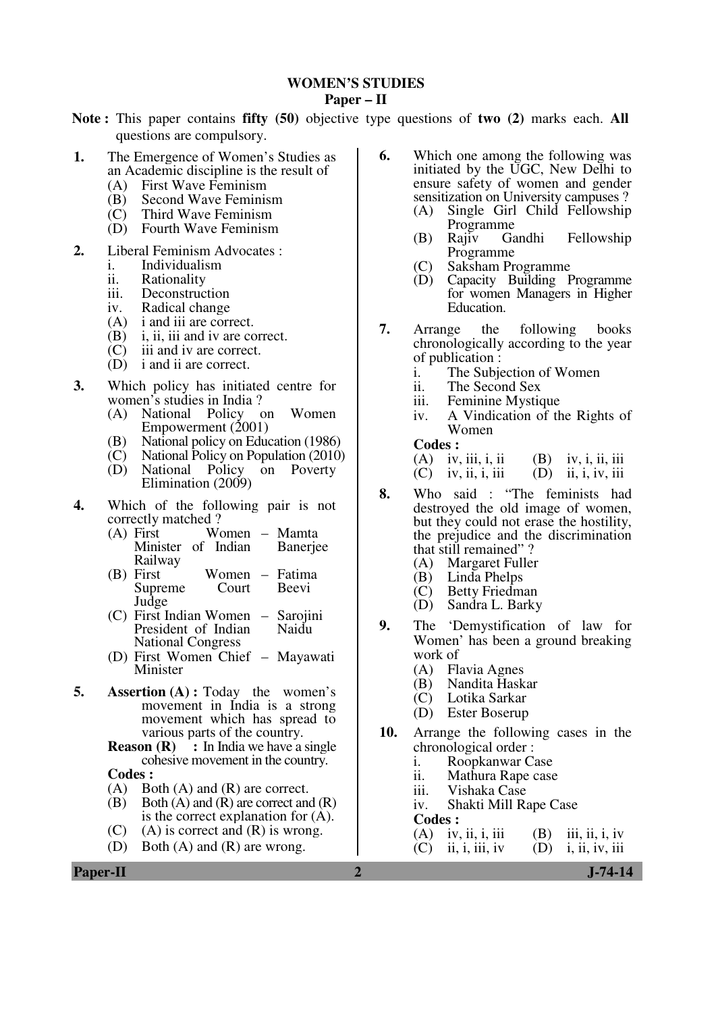#### **WOMEN'S STUDIES**

#### **Paper – II**

- **Note :** This paper contains **fifty (50)** objective type questions of **two (2)** marks each. **All** questions are compulsory.
- **1.** The Emergence of Women's Studies as an Academic discipline is the result of
	- (A) First Wave Feminism
	- (B) Second Wave Feminism
	- (C) Third Wave Feminism
	- (D) Fourth Wave Feminism
- **2.** Liberal Feminism Advocates :
	- i. Individualism
	- ii. Rationality
	-
	- iii. Deconstruction<br>iv. Radical change
	- iv. Radical change<br>(A) i and iii are corn i and iii are correct.
	- (B) i, ii, iii and iv are correct.
	- (C) iii and iv are correct.
	- (D) i and ii are correct.
- **3.** Which policy has initiated centre for women's studies in India ?
	- (A) National Policy on Women Empowerment  $(2001)$
	- (B) National policy on Education (1986)<br>(C) National Policy on Population (2010)
	- (C) National Policy on Population (2010)
	- National Policy on Poverty Elimination (2009)
- **4.** Which of the following pair is not correctly matched ?
	- $(A)$  First Minister of Indian Railway – Mamta **Baneriee**
	- (B) First Women<br>Supreme Court Supreme Judge – Fatima Beevi
	- (C) First Indian Women Sarojini President of Indian National Congress Naidu
	- (D) First Women Chief Mayawati Minister
- **5. Assertion (A):** Today the women's movement in India is a strong movement which has spread to various parts of the country.

**Reason (R)** : In India we have a single cohesive movement in the country.

Codes :<br>(A) Bo

- Both  $(A)$  and  $(R)$  are correct.
- $(B)$  Both  $(A)$  and  $(R)$  are correct and  $(R)$ is the correct explanation for (A).
- (C) (A) is correct and  $(R)$  is wrong.
- (D) Both (A) and (R) are wrong.
- **6.** Which one among the following was initiated by the UGC, New Delhi to ensure safety of women and gender sensitization on University campuses ?
	- (A) Single Girl Child Fellowship Programme<br>Rajiv Gandhi
	- (B) Rajiv Gandhi Fellowship Programme
	- (C) Saksham Programme
	- Capacity Building Programme for women Managers in Higher Education.
- **7.** Arrange the following books chronologically according to the year of publication :
	- i. The Subjection of Women
	- ii. The Second Sex
	- iii. Feminine Mystique
	- iv. A Vindication of the Rights of Women

**Codes :** 

(A) iv, iii, i, ii (B) iv, i, ii, iii

- $(C)$  iv, ii, i, iii  $(D)$  ii, i, iv, iii
- **8.** Who said : "The feminists had destroyed the old image of women, but they could not erase the hostility, the prejudice and the discrimination that still remained" ?<br>
(A) Margaret Fuller
	- (A) Margaret Fuller
	- (B) Linda Phelps
	- (C) Betty Friedman<br>(D) Sandra L. Barky
	- Sandra L. Barky
- **9.** The 'Demystification of law for Women' has been a ground breaking work of<br> $(A)$  Fl
	- (A) Flavia Agnes
	- (B) Nandita Haskar
	- (C) Lotika Sarkar
	- Ester Boserup
- **10.** Arrange the following cases in the chronological order :<br>i. Roopkanwar Ca
	- i. Roopkanwar Case<br>ii. Mathura Rape case
	- ii. Mathura Rape case<br>iii. Vishaka Case
	- iii. Vishaka Case<br>iv. Shakti Mill R
	- Shakti Mill Rape Case
	- **Codes : (A)** iv.
	- (A) iv, ii, i, iii (B) iii, ii, iv (C) ii, i, iii, iv (D) i, ii, iv, iii
		- i, ii, iv, iii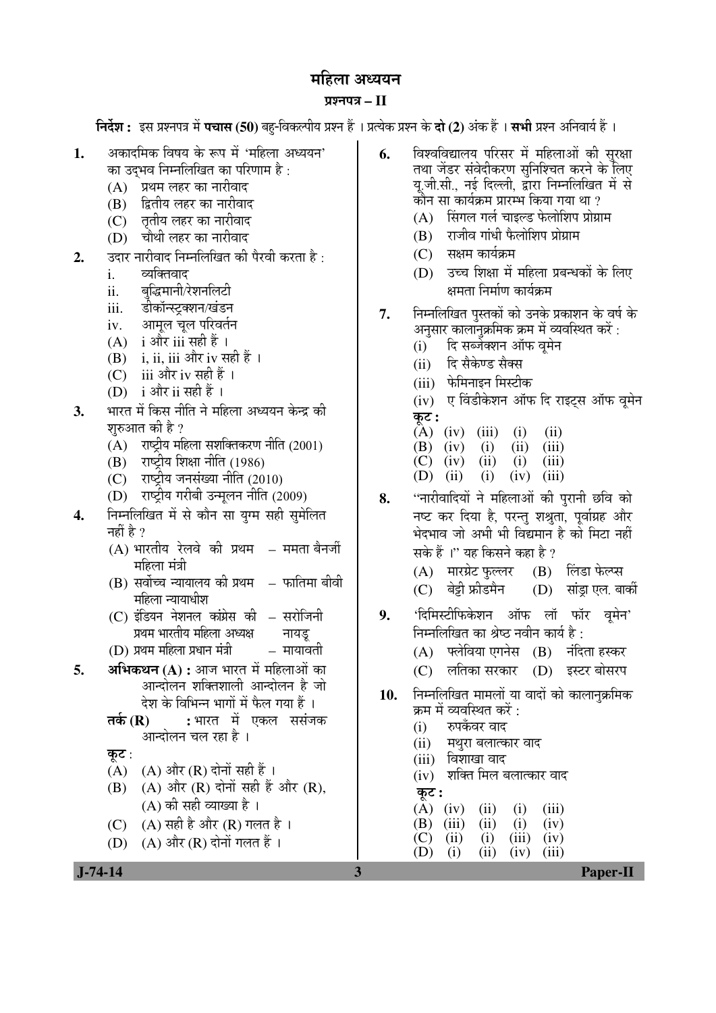# महिला अध्ययन

# ¯ÖÏ¿®Ö¯Ö¡Ö **– II**

**निर्देश :** इस प्रश्नपत्र में **पचास (50)** बह-विकल्पीय प्रश्न हैं । प्रत्येक प्रश्न के **दो (2)** अंक हैं । **सभी** प्रश्न अनिवार्य हैं ।

- 1. अकादमिक विषय के रूप में 'महिला अध्ययन' का उदभव निम्नलिखित का परिणाम है :
	- (A) प्रथम लहर का नारीवाद
	- (B) द्वितीय लहर का नारीवाद
	- (C) ततीय लहर का नारीवाद
	- (D) चौथी लहर का नारीवाद
- **2.** ∑उदार नारीवाद निम्नलिखित की पैरवी करता है :
	- i. व्यक्तिवाद
	- ii. बद्धिमानी/रेशनलिटी
	- iii. डीकॉन्स्ट्रक्शन/खंडन
	- iv. आमल चल परिवर्तन
	- $(A)$  i और iii सही हैं ।
	- $(B)$  i, ii, iii और iv सही हैं ।
	- (C) iii और iv सही हैं ।
	- $(D)$  i और ii सही हैं।
- **3.** भारत में किस नीति ने महिला अध्ययन केन्द्र की शुरुआत की है ?
	- $(A)$  राष्ट्रीय महिला सशक्तिकरण नीति (2001)
	- $(B)$  राष्ट्रीय शिक्षा नीति (1986)
	- (C) राष्ट्रीय जनसंख्या नीति (2010)
	- $(D)$  राष्ट्रीय गरीबी उन्मुलन नीति (2009)
- 4. Fiम्नलिखित में से कौन सा युग्म सही सुमेलित नहीं है ?
	- $(A)$  भारतीय रेलवे की प्रथम ममता बैनर्जी महिला मंत्री
	- (B) सर्वोच्च न्यायालय की प्रथम महिला न्यायाधीश – फातिमा बीवी
	- (C) इंडियन नेशनल कांग्रेस की प्रथम भारतीय महिला अध्यक्ष – सरोजिनी नायडू
	- $(D)$  प्रथम महिला प्रधान मंत्री  $\qquad$  मायावती
- **5. अभिकथन (A) :** आज भारत में महिलाओं का आन्दोलन शक्तिशाली आन्दोलन है जो देश के विभिन्न भागों में फैल गया हैं ।
	- **तर्क (R) :** भारत में एकल ससंजक आन्दोलन चल रहा है ।

कुट $:$ 

- $(A)$   $(A)$  और  $(R)$  दोनों सही हैं।
- $(B)$   $(A)$  और  $(R)$  दोनों सही हैं और  $(R)$ . (A) की सही व्याख्या है ।
- (C)  $(A)$  सही है और (R) गलत है ।
- (D)  $(A)$  और  $(R)$  दोनों गलत हैं ।
- **6.** विश्वविद्यालय परिसर में महिलाओं की सरक्षा तथा जेंडर संवेदीकरण सनिश्चित करने के लिए यु.जी.सी., नई दिल्ली, द्वारा निम्नलिखित में से <u>कोन सा कार्यक्रम प्रारम्भ किया गया था ?</u>
	- $(A)$  सिंगल गर्ल चाइल्ड फेलोशिप प्रोग्राम
	- $(B)$  राजीव गांधी फैलोशिप प्रोग्राम
	- $(C)$  सक्षम कार्यक्रम
	- $(D)$  उच्च शिक्षा में महिला प्रबन्धकों के लिए क्षमता निर्माण कार्यक्रम
- 7. निम्नलिखित पस्तकों को उनके प्रकाशन के वर्ष के अनुसार कालानुक्रमिक क्रम में व्यवस्थित करें :
	- (i) हि सब्जेक्शन ऑफ व्**मे**न
	- (ii) दि सैकेण्ड सैक्स
	- (iii) फेमिनाइन मिस्टीक
	- (iv) ए विंडीकेशन ऑफ दि राइट्स ऑफ वूमेन कट :
	- $(A)$  (iv) (iii) (i) (ii)<br>
	(B) (iv) (i) (iii) (iii)
	- (B) (iv) (i) (ii) (iii)<br>(C) (iv) (ii) (i) (iii)
	- $(C)$  (iv)
	- (D) (ii) (i) (iv) (iii)
- 8. "नारीवादियों ने महिलाओं की पुरानी छवि को नष्ट कर दिया है, परन्तु शश्रुता, पूर्वाग्रह और भेदभाव जो अभी भी विद्यमान है को मिटा नहीं सके हैं ।" यह किसने कहा है ?
	- $(A)$  मारग्रेट फुल्लर  $(B)$  लिंडा फेल्प्स
	- (C) बेड़ी फ्रीडमैन (D) सांडा एल. बार्की
- 9. 'दिमिस्टीफिकेशन ऑफ लॉ फॉर वमेन' निम्नलिखित का श्रेष्ठ नवीन कार्य है :
	- $(A)$  क्लेविया एगनेस  $(B)$  नंदिता हस्कर
	- (C) लतिका सरकार (D) इस्टर बोसरप
- 10. निम्नलिखित मामलों या वादों को कालानक्रमिक क्रम में व्यवस्थित करें :
	- $(i)$  रुपकँवर वाद
	- (ii) मथुरा बलात्कार वाद
	- (iii) विशाखा वाद
	- (iv) शक्ति मिल बलात्कार वाद
	- Ûæú™ü **:**
	- $(A)$  (iv) (ii) (i) (iii)
	- $(B)$  (iii) (ii) (i) (iv)  $(C)$  (ii) (i) (iii) (iv)
	- $(D)$  (i) (ii) (iv) (iii)

 **J-74-14 3 Paper-II**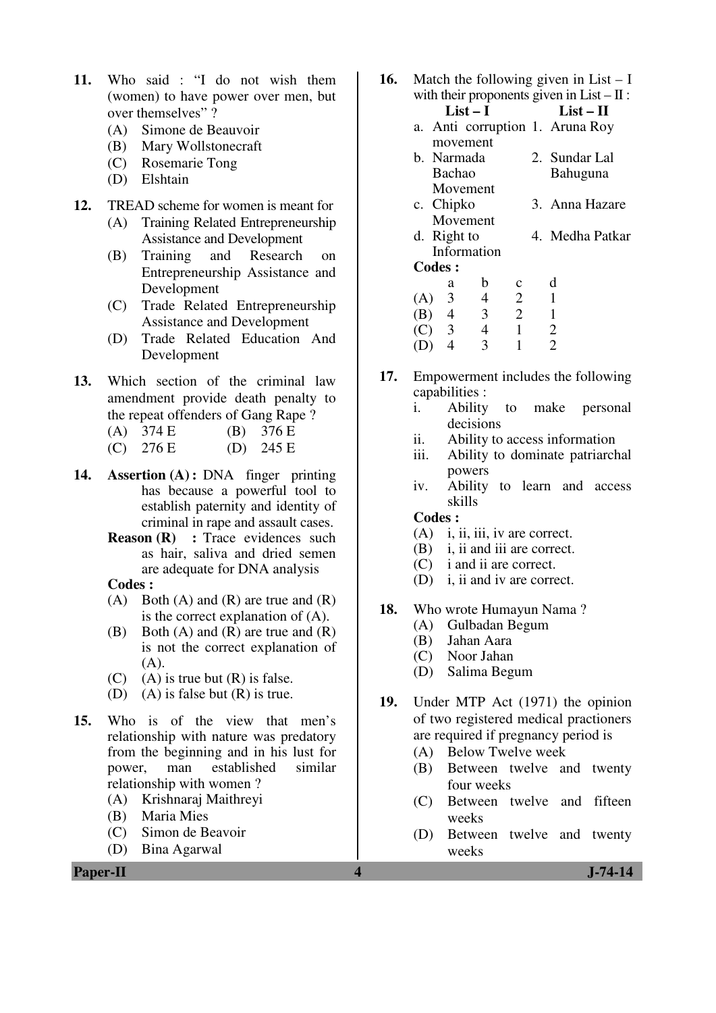- **11.** Who said : "I do not wish them (women) to have power over men, but over themselves" ?
	- (A) Simone de Beauvoir
	- (B) Mary Wollstonecraft
	- (C) Rosemarie Tong
	- (D) Elshtain
- **12.** TREAD scheme for women is meant for
	- (A) Training Related Entrepreneurship Assistance and Development
	- (B) Training and Research on Entrepreneurship Assistance and Development
	- (C) Trade Related Entrepreneurship Assistance and Development
	- (D) Trade Related Education And Development
- **13.** Which section of the criminal law amendment provide death penalty to the repeat offenders of Gang Rape ?<br>
(A)  $374 E$  (B)  $376 E$ 
	- $(A) 374 E$
	- (C)  $276 \text{ E}$  (D)  $245 \text{ E}$
- **14. Assertion (A) :** DNA finger printing has because a powerful tool to establish paternity and identity of criminal in rape and assault cases.
	- **Reason (R)** : Trace evidences such as hair, saliva and dried semen are adequate for DNA analysis

 **Codes :** 

- (A) Both (A) and  $(R)$  are true and  $(R)$ is the correct explanation of (A).
- (B) Both (A) and (R) are true and (R) is not the correct explanation of (A).
- (C) (A) is true but  $(R)$  is false.
- (D) (A) is false but  $(R)$  is true.
- **15.** Who is of the view that men's relationship with nature was predatory from the beginning and in his lust for power, man established similar relationship with women ?
	- (A) Krishnaraj Maithreyi
	- (B) Maria Mies
	- (C) Simon de Beavoir
	- (D) Bina Agarwal
- **16.** Match the following given in List I with their proponents given in List  $- \Pi$ :  $List-I$   $List-II$ 
	- a. Anti corruption 1. Aruna Roy movement
	- b. Narmada Bachao Movement 2. Sundar Lal Bahuguna
	- c. Chipko Movement 3. Anna Hazare
	- d. Right to Information 4. Medha Patkar

**Codes :** 

|     | a | h | Ċ | d |
|-----|---|---|---|---|
| (A) | 3 | 4 | 2 |   |
| (B) | 4 | 3 | 2 |   |
| (C) | 3 | 4 |   | 2 |
| (D) | 4 | 3 |   | 2 |

- **17.** Empowerment includes the following capabilities :
	- i. Ability to make personal decisions
	- ii. Ability to access information
	- iii. Ability to dominate patriarchal powers
	- iv. Ability to learn and access skills

## **Codes :**

- (A) i, ii, iii, iv are correct.
- (B) i, ii and iii are correct.
- (C) i and ii are correct.
- (D) i, ii and iv are correct.

### **18.** Who wrote Humayun Nama ?

- (A) Gulbadan Begum
- (B) Jahan Aara
- (C) Noor Jahan
- (D) Salima Begum
- **19.** Under MTP Act (1971) the opinion of two registered medical practioners are required if pregnancy period is
	- (A) Below Twelve week
	- (B) Between twelve and twenty four weeks
	- (C) Between twelve and fifteen weeks
	- (D) Between twelve and twenty weeks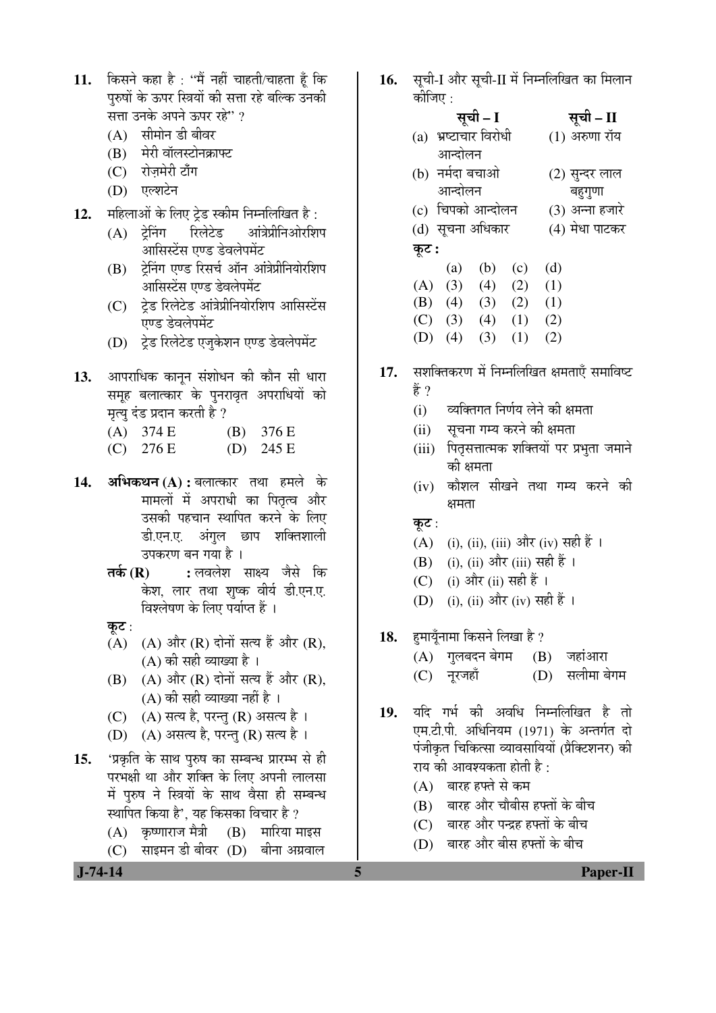- 11. किसने कहा है : "मैं नहीं चाहती/चाहता हैं कि परुषों के ऊपर स्त्रियों की सत्ता रहे बल्कि उनकी सत्ता उनके अपने ऊपर रहे" ?
	- $(A)$  सीमोन डी बीवर
	- (B) मेरी वॉलस्टोनक्राफ्ट
	- (C) रोज़मेरी टाँग
	- (D) एल्शटेन
- 12. महिलाओं के लिए ट्रेड स्कीम निम्नलिखित है:
	- (A) ट्रेनिंग रिलेटेड आंत्रेप्रीनिओरशिप आसिस्टेंस एण्ड डेवलेपमेंट
	- (B) ट्रेनिंग एण्ड रिसर्च ऑन आंत्रेप्रीनियोरशिप आसिस्टेंस एण्ड डेवलेपमेंट
	- (C) टेड रिलेटेड आंत्रेप्रीनियोरशिप आसिस्टेंस एण्ड डेवलेपमेंट
	- (D) टेड रिलेटेड एजुकेशन एण्ड डेवलेपमेंट
- 13. आपराधिक कानून संशोधन की कौन सी धारा समूह बलात्कार के पुनरावृत अपराधियों को मृत्यु दंड प्रदान करती है ?
	- (A) 374 E (B) 376 E
	- (C) 276 E (D) 245 E
- 14. **अभिकथन (A) :** बलात्कार तथा हमले के मामलों में अपराधी का पितृत्व और उसकी पहचान स्थापित करने के लिए डी.एन.ए. अंगुल छाप शक्तिशाली उपकरण बन गया है ।
	- **तर्क (R) :** लवलेश साक्ष्य जैसे कि केश, लार तथा शुष्क वीर्य डी.एन.ए. विश्लेषण के लिए पर्याप्त हैं ।
	- कुट $:$
	- $(A)$   $(A)$  और  $(R)$  दोनों सत्य हैं और  $(R)$ , (A) की सही व्याख्या है ।
	- $(B)$   $(A)$  और  $(R)$  दोनों सत्य हैं और  $(R)$ ,  $(A)$  की सही व्याख्या नहीं है ।
	- $(C)$   $(A)$  सत्य है, परन्तु  $(R)$  असत्य है ।
	- (D) (A) असत्य है, परन्तु (R) सत्य है।
- 15. 'प्रकृति के साथ पुरुष का सम्बन्ध प्रारम्भ से ही परभक्षी था और शक्ति के लिए अपनी लालसा में पुरुष ने स्त्रियों के साथ वैसा ही सम्बन्ध स्थापित किया है', यह किसका विचार है ?
	- $(A)$  कृष्णाराज मैत्री  $(B)$  मारिया माइस
	- $(C)$  साइमन डी बीवर  $(D)$  बीना अग्रवाल
- 16. सूची-I और सूची-II में निम्नलिखित का मिलान कीजिए  $\cdot$ 
	- सूची I <del>सू</del>ची II (a) भ्रष्टाचार विरोधी आन्दोलन  $(1)$  अरुणा रॉय (b) नर्मदा बचाओ (2) सुन्दर लाल
		- आन्दोलन बहुगुणा
	- (c) चिपको आन्दोलन (3) अन्ना हजारे
	- (d) सूचना अधिकार (4) मेधा पाटकर
	- कूट :
	- (a) (b) (c) (d)  $(A) (3) (4) (2) (1)$  (B) (4) (3) (2) (1)  $(C)$  (3) (4) (1) (2)
	- (D) (4) (3) (1) (2)
- 17. सशक्तिकरण में निम्नलिखित क्षमताएँ समाविष्ट हें ?
	- (i) व्यक्तिगत निर्णय लेने की क्षमता
	- (ii) सूचना गम्य करने की क्षमता
	- (iii) पितृसत्तात्मक शक्तियों पर प्रभुता जमाने को क्षमता
	- (iv) कौशल सीखने तथा गम्य करने की क्षमता
	- कुट $:$
	- (A) (i), (ii), (iii) और (iv) सही हैं ।
	- (B) (i), (ii) और (iii) सही हैं ।
	- (C) (i) और (ii) सही हैं ।
	- (D) (i), (ii) और (iv) सही हैं ।
- 1**8.** हमायूँनामा किसने लिखा है ?
	- (A) गुलबदन बेगम (B) जहांआरा
	- (C) ®Öæ¸ü•ÖÆüÖÑ (D) ÃÖ»Öß´ÖÖ ²ÖêÝÖ´Ö
- 19. यदि गर्भ की अवधि निम्नलिखित है तो एम.टी.पी. अधिनियम (1971) के अन्तर्गत दो पंजीकृत चिकित्सा व्यावसायियों (प्रैक्टिशनर) की राय की आवश्यकता होती है:
	- $(A)$  बारह हफ्ते से कम
	- $(B)$  वारह और चौबीस हफ्तों के बीच
	- (C) बारह और पन्द्रह हफ्तों के बीच
	- (D) बारह और बीस हफ्तों के बीच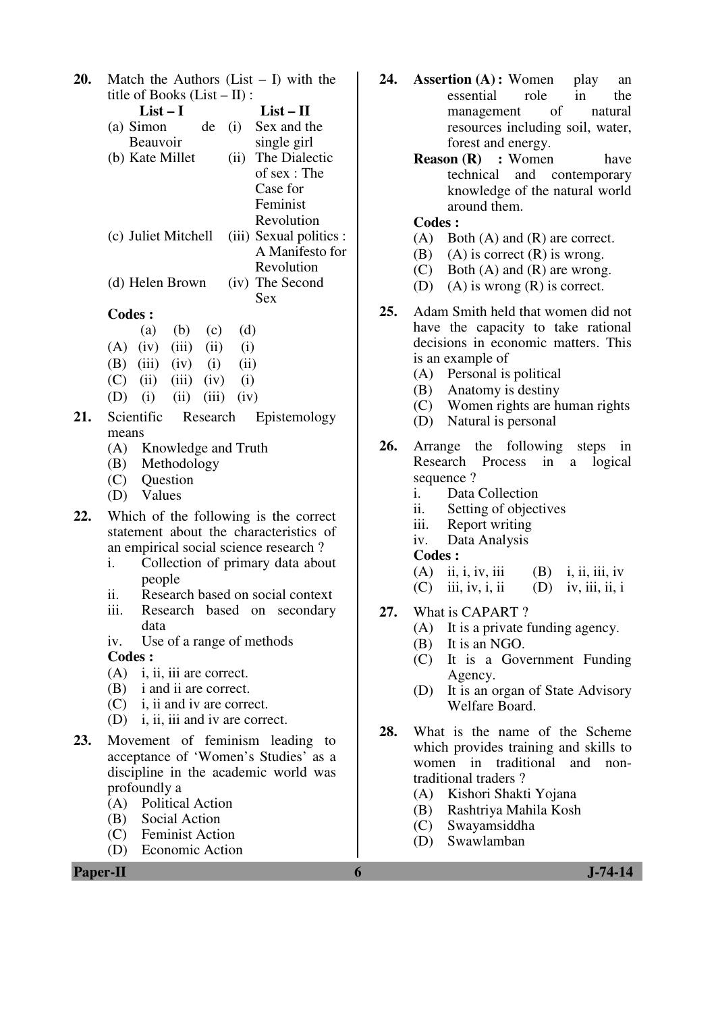**20.** Match the Authors (List – I) with the title of Books (List – II) : **List – I List – II**   $(a)$  Simon Beauvoir (i) Sex and the single girl (b) Kate Millet (ii) The Dialectic of sex : The Case for Feminist Revolution (c) Juliet Mitchell (iii) Sexual politics : A Manifesto for Revolution<br>(iv) The Second (d) Helen Brown Sex **Codes :**  (a) (b) (c) (d)  $(A)$   $(iv)$   $(iii)$   $(ii)$   $(i)$ (B) (iii) (iv) (i) (ii)  $(C)$  (ii) (iii) (iv) (i) (D) (i) (ii) (iii) (iv) 21. Scientific Research Epistemology means (A) Knowledge and Truth (B) Methodology (C) Question (D) Values **22.** Which of the following is the correct statement about the characteristics of an empirical social science research ? i. Collection of primary data about people ii. Research based on social context iii. Research based on secondary data iv. Use of a range of methods **Codes :**  (A) i, ii, iii are correct. (B) i and ii are correct. (C) i, ii and iv are correct. (D) i, ii, iii and iv are correct. **23.** Movement of feminism leading to acceptance of 'Women's Studies' as a discipline in the academic world was profoundly a (A) Political Action (B) Social Action (C) Feminist Action

(D) Economic Action

**Paper-II 6 J-74-14** 

- **24. Assertion (A) :** Women play an essential role in the management of natural resources including soil, water, forest and energy.
	- **Reason (R)** : Women have technical and contemporary knowledge of the natural world around them.

### **Codes :**

- (A) Both (A) and (R) are correct.
- (B) (A) is correct  $(R)$  is wrong.
- (C) Both (A) and (R) are wrong.
- (D) (A) is wrong (R) is correct.
- **25.** Adam Smith held that women did not have the capacity to take rational decisions in economic matters. This is an example of
	- (A) Personal is political
	- (B) Anatomy is destiny
	- (C) Women rights are human rights
	- (D) Natural is personal
- **26.** Arrange the following steps in Research Process in a logical sequence ?
	- i. Data Collection
	- ii. Setting of objectives
	- iii. Report writing
	- iv. Data Analysis

# **Codes :**

| $(A)$ ii, i, iv, iii | $(B)$ i, ii, iii, iv |
|----------------------|----------------------|
| $(C)$ iii, iv, i, ii | $(D)$ iv, iii, ii, i |

- 
- **27.** What is CAPART ?
	- (A) It is a private funding agency.
	- (B) It is an NGO.
	- (C) It is a Government Funding Agency.
	- (D) It is an organ of State Advisory Welfare Board.
- **28.** What is the name of the Scheme which provides training and skills to women in traditional and nontraditional traders ?
	- (A) Kishori Shakti Yojana
	- (B) Rashtriya Mahila Kosh
	- (C) Swayamsiddha
	- (D) Swawlamban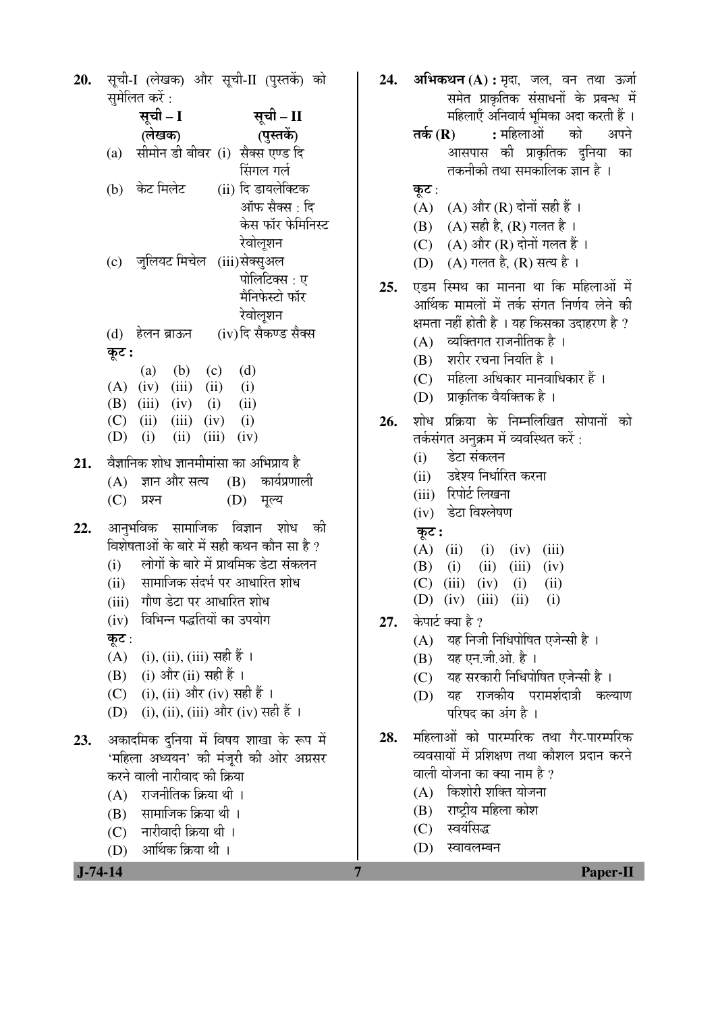20. सूची-I (लेखक) और सूची-II (पुस्तकें) को 24. समेलित करें : सची – I सची – II (लेखक) (पुस्तकें) (a) सीमोन डी बीवर (i) सैक्स एण्ड दि सिंगल गर्ल (b) केट मिलेट (ii) दि डायलेक्टिक ऑफ सैक्स · दि केस फॉर फेमिनिस्ट रेवोलशन (c) जलियट मिचेल (iii)सेक्सुअल पोलिटिक्स : ए मैनिफेस्टो फॉर रेवोलशन (iv)दि सैकण्ड सैक्स (d) हेलन ब्राऊन कूट:  $(d)$  $(a)$  $(b)$  $(c)$  $(A)$  (iv)  $(iii)$   $(ii)$  $(i)$  $(B)$  (iii)  $(iv)$  $(i)$  $(ii)$  $(C)$  $(ii)$  $(iii)$   $(iv)$  $(i)$  $(D)$  (i)  $(ii)$   $(iii)$   $(iv)$ वैज्ञानिक शोध ज्ञानमीमांसा का अभिप्राय है  $21.$ कार्यप्रणाली  $(A)$  ज्ञान और सत्य  $(B)$  $(C)$ प्रश्न  $(D)$ मूल्य आनभविक सामाजिक विज्ञान शोध की 22. विशेषताओं के बारे में सही कथन कौन सा है ? लोगों के बारे में प्राथमिक डेटा संकलन  $(i)$ सामाजिक संदर्भ पर आधारित शोध  $(i)$ (iii) गौण डेटा पर आधारित शोध (iv) विभिन्न पद्धतियों का उपयोग कट $:$ (A) (i), (ii), (iii) सही हैं । (i) और (ii) सही हैं । (B) (C) (i), (ii) और (iv) सही हैं । (i), (ii), (iii) और (iv) सही हैं ।  $(D)$ अकादमिक दुनिया में विषय शाखा के रूप में 23. 'महिला अध्ययन' की मंजुरी की ओर अग्रसर करने वाली नारीवाद की क्रिया राजनीतिक क्रिया थी ।  $(A)$ (B) सामाजिक क्रिया थी। (C) नारीवादी क्रिया थी। आर्थिक क्रिया थी ।  $(D)$ 

7

तकनीकी तथा समकालिक ज्ञान है । कूट: (A) (A) और (R) दोनों सही हैं । (B) (A) सही है, (R) गलत है। (C) (A) और (R) दोनों गलत हैं। (D) (A) गलत है, (R) सत्य है। एडम स्मिथ का मानना था कि महिलाओं में  $25.$ आर्थिक मामलों में तर्क संगत निर्णय लेने की क्षमता नहीं होती है । यह किसका उदाहरण है ?  $(A)$  व्यक्तिगत राजनीतिक है। (B) शरीर रचना नियति है।  $(C)$  महिला अधिकार मानवाधिकार हैं। (D) प्राकृतिक वैयक्तिक है । शोध प्रक्रिया के निम्नलिखित सोपानों को 26. तर्कसंगत अनुक्रम में व्यवस्थित करें : डेटा संकलन  $(i)$ उद्देश्य निर्धारित करना  $(i)$ (iii) रिपोर्ट लिखना (iv) डेटा विश्लेषण कूट :  $(A)$  (ii)  $(i)$  $(iv)$  $(iii)$ (B)  $(i)$  $(ii)$  $(iii)$  $(iv)$  $(C)$  (iii) (iv)  $(ii)$  $(i)$  $(D)$   $(iv)$   $(iii)$   $(ii)$  $(i)$ केपार्ट क्या है ? 27. (A) यह निजी निधिपोषित एजेन्सी है।  $(B)$  यह एन.जी.ओ. है । (C) यह सरकारी निधिपोषित एजेन्सी है। (D) यह राजकीय परामर्शदात्री कल्याण परिषद का अंग है। महिलाओं को पारम्परिक तथा गैर-पारम्परिक 28. व्यवसायों में प्रशिक्षण तथा कौशल प्रदान करने वाली योजना का क्या नाम है ? (A) किशोरी शक्ति योजना (B) राष्ट्रीय महिला कोश स्वयंसिद्ध  $(C)$ (D) स्वावलम्बन

अभिकथन (A) : मृदा, जल, वन तथा ऊर्जा

: महिलाओं

तर्क  $(R)$ 

समेत प्राकृतिक संसाधनों के प्रबन्ध में महिलाएँ अनिवार्य भूमिका अदा करती हैं ।

आसपास को प्राकृतिक दुनिया का

को

अपने

 $J-74-14$ 

**Paper-II**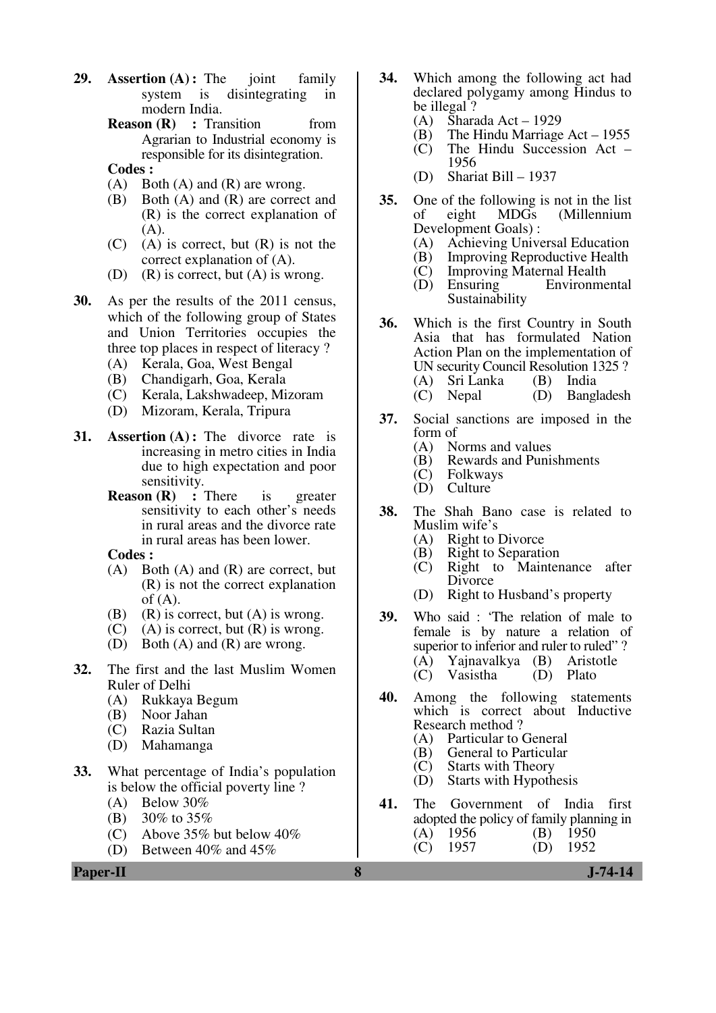- **29. Assertion (A) :** The joint family system is disintegrating in modern India.
	- **Reason (R) : Transition from** Agrarian to Industrial economy is responsible for its disintegration.
	- **Codes :**
	- $(A)$  Both  $(A)$  and  $(R)$  are wrong.
	- (B) Both (A) and (R) are correct and (R) is the correct explanation of (A).
	- $(C)$  (A) is correct, but  $(R)$  is not the correct explanation of (A).
	- (D) (R) is correct, but  $(A)$  is wrong.
- **30.** As per the results of the 2011 census, which of the following group of States and Union Territories occupies the three top places in respect of literacy ?
	- (A) Kerala, Goa, West Bengal
	- (B) Chandigarh, Goa, Kerala
	- (C) Kerala, Lakshwadeep, Mizoram
	- Mizoram, Kerala, Tripura
- **31. Assertion (A):** The divorce rate is increasing in metro cities in India due to high expectation and poor sensitivity.
	- **Reason (R)** : There is greater sensitivity to each other's needs in rural areas and the divorce rate in rural areas has been lower.
	- **Codes :**
	- (A) Both (A) and (R) are correct, but (R) is not the correct explanation of  $(A)$ .
	- (B) (R) is correct, but  $(A)$  is wrong.
	- $(C)$  (A) is correct, but  $(R)$  is wrong.
	- (D) Both (A) and (R) are wrong.
- **32.** The first and the last Muslim Women Ruler of Delhi
	- (A) Rukkaya Begum
	- (B) Noor Jahan
	- Razia Sultan
	- (D) Mahamanga
- **33.** What percentage of India's population is below the official poverty line ?
	- (A) Below 30%
	- (B) 30% to 35%
	- (C) Above 35% but below 40%
	- (D) Between 40% and 45%
- **34.** Which among the following act had declared polygamy among Hindus to be illegal ?
	- (A) Sharada Act 1929
	- (B) The Hindu Marriage Act 1955
	- (C) The Hindu Succession Act 1956
	- (D) Shariat Bill 1937
- **35.** One of the following is not in the list<br>of eight MDGs (Millennium of eight MDGs (Millennium Development Goals) :<br>(A) Achieving Unive
	- (A) Achieving Universal Education<br>(B) Improving Reproductive Health
	- Improving Reproductive Health
	- (C) Improving Maternal Health
	- Environmental Sustainability
- **36.** Which is the first Country in South Asia that has formulated Nation Action Plan on the implementation of UN security Council Resolution 1325 ?
	- (A) Sri Lanka (B) India (D) Bangladesh
- **37.** Social sanctions are imposed in the form of
	- (A) Norms and values
	- (B) Rewards and Punishments
	- (C) Folkways
	- **Culture**
- **38.** The Shah Bano case is related to Muslim wife's
	- (A) Right to Divorce
	- (B) Right to Separation
	- (C) Right to Maintenance after Divorce
	- (D) Right to Husband's property
- **39.** Who said : 'The relation of male to female is by nature a relation of superior to inferior and ruler to ruled"? (A) Yajnavalkya (B) Aristotle (C) Vasistha (D) Plato
- **40.** Among the following statements which is correct about Inductive Research method ?
	- (A) Particular to General
	- (B) General to Particular<br>(C) Starts with Theory
	- (C) Starts with Theory<br>(D) Starts with Hypoth
	- Starts with Hypothesis
- **41.** The Government of India first adopted the policy of family planning in (A) 1956 (B) 1950<br>(C) 1957 (D) 1952  $1957$  (D)

**Paper-II 8 J-74-14**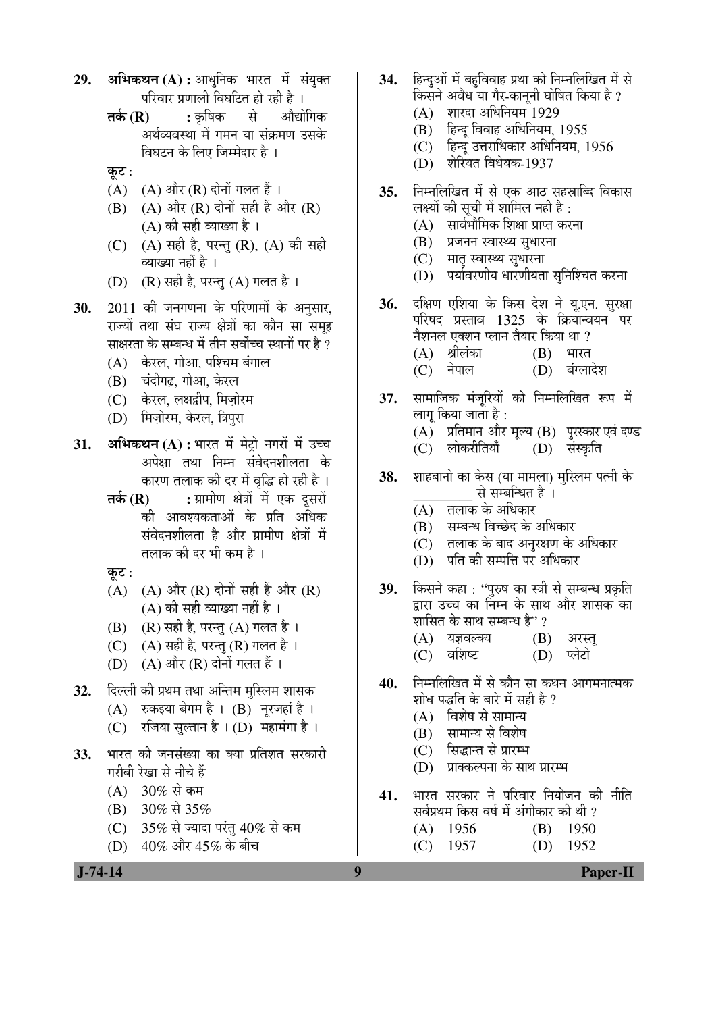- 29. **अभिकथन (A) :** आधुनिक भारत में संयुक्त परिवार प्रणाली विघटित हो रही है ।
	- **तर्क (R) :** कृषिक से औद्योगिक अर्थव्यवस्था में गमन या संक्रमण उसके विघटन के लिए जिम्मेदार है ।
	- कूट $:$
	- $(A)$   $(A)$  और  $(R)$  दोनों गलत हैं।
	- $(B)$   $(A)$  और  $(R)$  दोनों सही हैं और  $(R)$ (A) की सही व्याख्या है ।
	- (C) (A) सही है, परन्तु (R), (A) की सही व्याख्या नहीं है ।
	- (D) (R) सही है, परन्तु (A) गलत है ।
- 30. 2011 की जनगणना के परिणामों के अनुसार, राज्यों तथा संघ राज्य क्षेत्रों का कौन सा समूह साक्षरता के सम्बन्ध में तीन सर्वोच्च स्थानों पर है ?
	- (A) केरल, गोआ, पश्चिम बंगाल
	- (B) चंदीगढ़, गोआ, केरल
	- (C) केरल, लक्षद्वीप, मिज़ोरम
	- (D) मिज़ोरम, केरल, त्रिपुरा
- **31. अभिकथन (A) :** भारत में मेट्रो नगरों में उच्च अपेक्षा तथा निम्न संवेदनशीलता के कारण तलाक की दर में वृद्धि हो रही है ।
	- **तर्क (R) :** ग्रामीण क्षेत्रों में एक दूसरों की आवश्यकताओं के प्रति अधिक संवेदनशीलता है और ग्रामीण क्षेत्रों में तलाक की दर भी कम है ।
	- कुट $:$
	- (A)  $(A)$  और (R) दोनों सही हैं और (R)  $(A)$  की सही व्याख्या नहीं है ।
	- $(B)$   $(R)$  सही है, परन्तु  $(A)$  गलत है।
	- (C)  $(A)$  सही है, परन्तु (R) गलत है।
	- $(D)$   $(A)$  और  $(R)$  दोनों गलत हैं ।
- **32.** दिल्ली की प्रथम तथा अन्तिम मुस्लिम शासक
	- $(A)$  रुकइया बेगम है ।  $(B)$  नूरजहां है ।
	- $(C)$  रजिया सुल्तान है ।  $(D)$  महामंगा है ।
- **33.** भारत की जनसंख्या का क्या प्रतिशत सरकारी गरीबी रेखा से नीचे हैं
	- $(A) 30\%$  से कम
	- (B) 30% से 35%
	- (C)  $35\%$  से ज्यादा परंतु 40% से कम
	- (D)  $40\%$  और  $45\%$  के बीच
- 34. हिन्दओं में बहविवाह प्रथा को निम्नलिखित में से किसने अवैध या गैर-काननी घोषित किया है ?
	- (A) शारदा अधिनियम 1929
	- $(B)$  हिन्द विवाह अधिनियम, 1955
	- (C) हिन्दू उत्तराधिकार अधिनियम, 1956
	- $(D)$  शेरियत विधेयक-1937
- 35. निम्नलिखित में से एक आठ सहस्राब्दि विकास लक्ष्यों की सूची में शामिल नही है :
	- $(A)$  सार्वभौमिक शिक्षा प्राप्त करना
	- (B) प्रजनन स्वास्थ्य सुधारना
	- (C) मातृ स्वास्थ्य सुधारना
	- (D) पर्यावरणीय धारणीयता सुनिश्चित करना
- 36. दक्षिण एशिया के किस देश ने यू.एन. सुरक्षा परिषद प्रस्ताव  $1325$  के क्रियोन्वयन पर नैशनल एक्शन प्लान तैयार किया था ?  $(A)$  श्रीलंका  $(B)$  भारत
	- (C) नेपाल (D) बंग्लादेश
- 37. सामाजिक मंजूरियों को निम्नलिखित रूप में लाग किया जाता है :
	- (A) प्रतिमान और मूल्य (B) पुरस्कार एवं दण्ड<br>(C) लोकरीतियाँ (D) संस्कृति
	- (C) लोकरीतियाँ
- **38.** शाहबानो का केस (या मामला) मुस्लिम पत्नी के से सम्बन्धित है ।
	- $(A)$  ) तलाक के अधिकार
	- (B) सम्बन्ध विच्छेद के अधिकार
	- (C) तलाक के बाद अनुरक्षण के अधिकार
	- $(D)$  पति की सम्पत्ति पर अधिकार
- 39. किसने कहा: "पुरुष का स्त्री से सम्बन्ध प्रकृति द्वारा उच्च का निम्न के साथ और शासक का शासित के साथ सम्बन्ध है"?
	- $(A)$  यज्ञवल्क्य  $(B)$  अरस्त
	- (C) वशिष्ट (D) प्लेटो
- 40. निम्नलिखित में से कौन सा कथन आगमनात्मक <u>शोध पद्धति के बारे में सही है ?</u>
	- (A) विशेष से सामान्य
	- (B) सामान्य से विशेष
	- (C) सिद्धान्त से प्रारम्भ
	- (D) प्राक्कल्पना के साथ प्रारम्भ
- **41.** भारत सरकार ने परिवार नियोजन की नीति सर्वप्रथम किस वर्ष में अंगीकार की थी ?
	- (A) 1956 (B) 1950
	- (C) 1957 (D) 1952

 **J-74-14 9 Paper-II**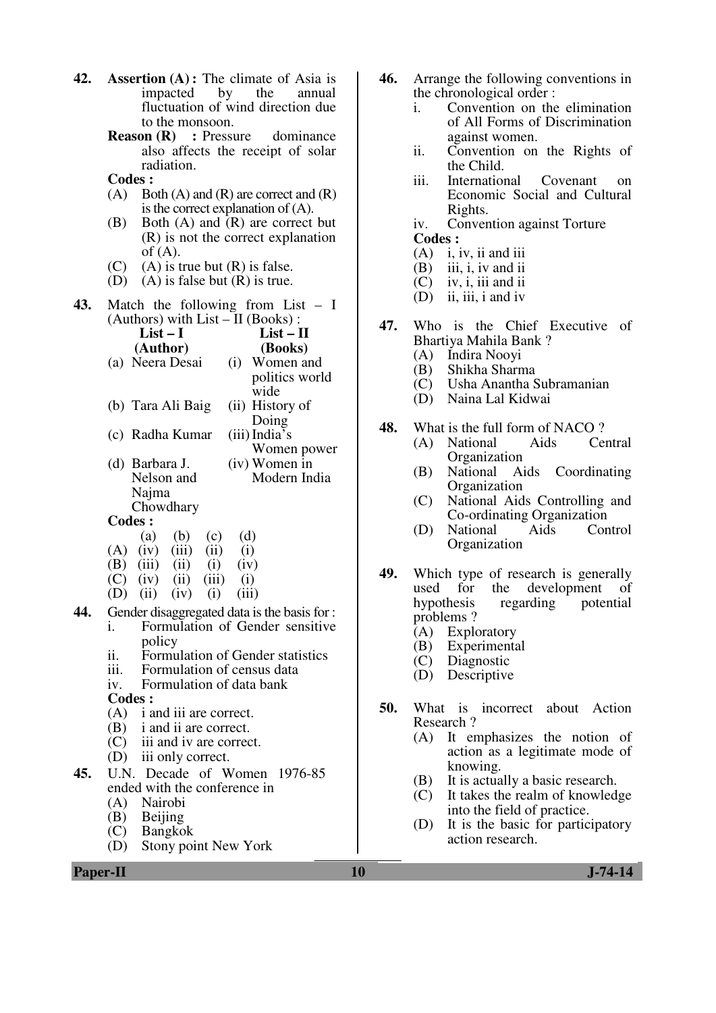| 42. Assertion $(A)$ : The climate of Asia is |  |  |  |
|----------------------------------------------|--|--|--|
| impacted by the annual                       |  |  |  |
| fluctuation of wind direction due            |  |  |  |
| to the monsoon.                              |  |  |  |

- **Reason (R)** : Pressure dominance also affects the receipt of solar radiation.
- **Codes :**
- $(A)$  Both  $(A)$  and  $(R)$  are correct and  $(R)$ is the correct explanation of (A).
- (B) Both (A) and (R) are correct but (R) is not the correct explanation of  $(A)$ .
- (C) (A) is true but  $(R)$  is false.
- (D) (A) is false but  $(R)$  is true.
- **43.** Match the following from List I (Authors) with  $List - II$  (Books):

|     | $List-I$                                                                      | $List - II$                      |
|-----|-------------------------------------------------------------------------------|----------------------------------|
|     | (Author)                                                                      | (Books)                          |
|     | (a) Neera Desai                                                               | (i) Women and                    |
|     |                                                                               | politics world                   |
|     |                                                                               | wide                             |
|     | (b) Tara Ali Baig                                                             | (ii) History of                  |
|     |                                                                               | Doing                            |
|     | (c) Radha Kumar                                                               | (iii) India's                    |
|     |                                                                               | Women power                      |
|     | (d) Barbara J.                                                                | (iv) Women in                    |
|     | Nelson and                                                                    | Modern India                     |
|     | Najma                                                                         |                                  |
|     | Chowdhary                                                                     |                                  |
|     | <b>Codes:</b>                                                                 |                                  |
|     | $(a)$ $(b)$<br>(c)                                                            | (d)                              |
|     | $(A)$ (iv) (iii) (ii)                                                         | (i)                              |
|     | $(B)$ (iii) (ii)<br>(i)                                                       | (iv)                             |
|     | $\overrightarrow{C}$ $\overrightarrow{(iv)}$ $\overrightarrow{(ii)}$<br>(iii) | (i)                              |
|     | $(D)$ $(ii)$<br>(i)<br>(iv)                                                   | (iii)                            |
| 44. | Gender disaggregated data is the basis for :                                  |                                  |
|     | i.                                                                            | Formulation of Gender sensitive  |
|     | policy                                                                        |                                  |
|     | ii.                                                                           | Formulation of Gender statistics |
|     | iii.<br>Formulation of census data                                            |                                  |
|     | Formulation of data bank<br>iv.                                               |                                  |
|     | <b>Codes:</b>                                                                 |                                  |
|     | $(A)$ i and iii are correct.                                                  |                                  |
|     | (B) i and ii are correct.                                                     |                                  |
|     | (C) iii and iv are correct.                                                   |                                  |
|     | (D) iii only correct.                                                         |                                  |
| 45. | U.N. Decade of Women 1976-85                                                  |                                  |
|     | ended with the conference in                                                  |                                  |
|     | (A)<br><b>Nairobi</b>                                                         |                                  |
|     | (B) Beijing                                                                   |                                  |
|     | (C)<br><b>Bangkok</b>                                                         |                                  |

(D) Stony point New York

- **46.** Arrange the following conventions in the chronological order :
	- i. Convention on the elimination of All Forms of Discrimination against women.
	- ii. Convention on the Rights of the Child.
	- iii. International Covenant on Economic Social and Cultural Rights.
	- iv. Convention against Torture  **Codes :**
	- (A) i, iv, ii and iii
	- (B) iii, i, iv and ii<br>(C) iv, i, iii and ii
	- iv, i, iii and ii
	- (D) ii, iii, i and iv
- **47.** Who is the Chief Executive of Bhartiya Mahila Bank ?
	- (A) Indira Nooyi
	- (B) Shikha Sharma
	- (C) Usha Anantha Subramanian
	- Naina Lal Kidwai
- **48.** What is the full form of NACO ?<br>
(A) National Aids Central
	- (A) National Aids **Organization**
	- (B) National Aids Coordinating **Organization**
	- (C) National Aids Controlling and Co-ordinating Organization
	- (D) National Aids Control Organization
- **49.** Which type of research is generally used for the development of hypothesis regarding potential problems ?
	- (A) Exploratory
	- (B) Experimental
	- (C) Diagnostic
	- Descriptive
- **50.** What is incorrect about Action Research ?
	- (A) It emphasizes the notion of action as a legitimate mode of knowing.
	- (B) It is actually a basic research.
	- (C) It takes the realm of knowledge into the field of practice.
	- (D) It is the basic for participatory action research.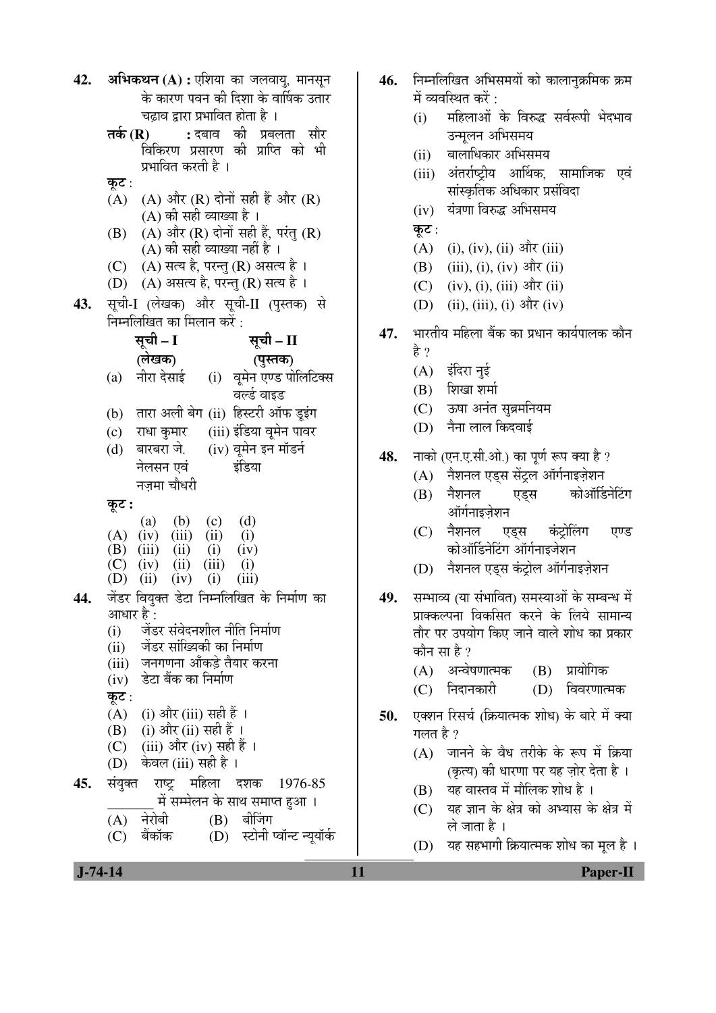| 42. | <b>अभिकथन (A) :</b> एशिया का जलवायु, मानसून<br>46.                |     |  |
|-----|-------------------------------------------------------------------|-----|--|
|     | के कारण पवन की दिशा के वार्षिक उतार                               |     |  |
|     | चढ़ाव द्वारा प्रभावित होता है ।                                   |     |  |
|     | : दबाव की प्रबलता सौर<br>तर्क $(R)$                               |     |  |
|     | विकिरण प्रसारण की प्राप्ति को भी                                  |     |  |
|     | प्रभावित करती है ।                                                |     |  |
|     | कूट :                                                             |     |  |
|     | (A) (A) और (R) दोनों सही हैं और (R)                               |     |  |
|     | (A) की सही व्याख्या है ।                                          |     |  |
|     | (A) और $(R)$ दोनों सही हैं, परंतु $(R)$<br>(B)                    |     |  |
|     | (A) की सही व्याख्या नहीं है ।                                     |     |  |
|     | (C) (A) सत्य है, परन्तु (R) असत्य है।                             |     |  |
|     | (D) (A) असत्य है, परन्तु (R) सत्य है ।                            |     |  |
| 43. | सूची-I (लेखक) और सूची-II (पुस्तक) से                              |     |  |
|     | निम्नलिखित का मिलान करें :                                        |     |  |
|     | सूची – I<br>सूची – II                                             | 47. |  |
|     | (लेखक)<br>(पुस्तक)                                                |     |  |
|     | नीरा देसाई      (i)    वूमेन एण्ड पोलिटिक्स<br>(a)                |     |  |
|     | वर्ल्ड वाइड                                                       |     |  |
|     | (b) तारा अली बेग (ii) हिस्टरी ऑफ डूइंग                            |     |  |
|     | (c) राधा कुमार (iii) इंडिया वूमेन पावर                            |     |  |
|     | (iv) वूमेन इन मॉडर्न<br>(d) वारबरा जे.                            |     |  |
|     | नेलसन एवं<br>इंडिया                                               | 48. |  |
|     | नज़मा चौधरी                                                       |     |  |
|     |                                                                   |     |  |
|     | कूट :<br>(a) (b) (c)<br>(d)                                       |     |  |
|     | $(A)$ (iv) (iii) (ii)<br>(i)                                      |     |  |
|     | (B) $(iii)$ $(ii)$ $(i)$<br>(iv)                                  |     |  |
|     | $(C)$ (iv) (ii) (iii) (i)                                         |     |  |
|     | (D) (ii) (iv) (i)<br>(iii)                                        |     |  |
| 44. | जेंडर वियुक्त डेटा निम्नलिखित के निर्माण का                       | 49. |  |
|     | आधार है :                                                         |     |  |
|     | जेंडर संवेदनशील नीति निर्माण<br>(i)                               |     |  |
|     | जेंडर सांख्यिकी का निर्माण<br>(ii)                                |     |  |
|     | जनगणना आँकड़े तैयार करना<br>(iii)<br>डेटा बैंक का निर्माण<br>(iv) |     |  |
|     | कूट :                                                             |     |  |
|     | (A) (i) और (iii) सही हैं ।                                        |     |  |
|     | (B) (i) और (ii) सही हैं ।                                         | 50. |  |
|     | (C) (iii) और (iv) सही हैं ।                                       |     |  |
|     | (D) केवल (iii) सही है ।                                           |     |  |
| 45. | संयुक्त राष्ट्र महिला<br>दशक<br>1976-85                           |     |  |
|     | में सम्मेलन के साथ समाप्त हुआ ।                                   |     |  |
|     | $(B)$ बीजिंग<br>नेरोबी<br>(A)                                     |     |  |
|     | (D) स्टोनी प्वॉन्ट न्यूयॉर्क<br>बैंकॉक<br>(C)                     |     |  |
|     |                                                                   |     |  |

- निम्नलिखित अभिसमयों को कालानक्रमिक क्रम में व्यवस्थित करें :
	- महिलाओं के विरुद्ध सर्वरूपी भेदभाव  $(i)$ उन्मूलन अभिसमय
	- बालाधिकार अभिसमय  $(ii)$
	- (iii) अंतर्राष्ट्रीय आर्थिक, सामाजिक एवं सांस्कृतिक अधिकार प्रसंविदा
	- (iv) यंत्रणा विरुद्ध अभिसमय
	- कूट:
	- (A) (i), (iv), (ii) और (iii)
	- (B) (iii), (i), (iv) और (ii)
	- (C) (iv), (i), (iii) और (ii)
	- (D) (ii), (iii), (i) और (iv)
- भारतीय महिला बैंक का प्रधान कार्यपालक कौन हे ?
	- (A) इंदिरा नुई
	- $(B)$  शिखा शर्मा
	- (C) ऊषा अनंत सुब्रमनियम
	- $(D)$  नैना लाल किदवाई
- नाको (एन.ए.सी.ओ.) का पूर्ण रूप क्या है ?
	- (A) नैशनल एड्स सेंट्रल ऑर्गनाइज़ेशन
	- $(B)$  नैशनल कोऑर्डिनेटिंग एडस ऑर्गनाइजेशन
	- (C) नैशनल कंटोलिंग एण्ड एड्स कोऑर्डिनेटिंग ऑर्गनाइजेशन
	- (D) नैशनल एड्स कंट्रोल ऑर्गनाइज़ेशन
- सम्भाव्य (या संभावित) समस्याओं के सम्बन्ध में प्राक्कल्पना विकसित करने के लिये सामान्य तौर पर उपयोग किए जाने वाले शोध का प्रकार कौन सा है ?
	- (A) अन्वेषणात्मक (B) प्रायोगिक
	- (C) निदानकारी (D) विवरणात्मक
- एक्शन रिसर्च (क्रियात्मक शोध) के बारे में क्या गलत है  $\overline{?}$ 
	- (A) जानने के वैध तरीके के रूप में क्रिया (कृत्य) की धारणा पर यह जोर देता है।
	- (B) यह वास्तव में मौलिक शोध है।
	- (C) यह ज्ञान के क्षेत्र को अभ्यास के क्षेत्र में ले जाता है।
	- (D) यह सहभागी क्रियात्मक शोध का मूल है।

**Paper-II**